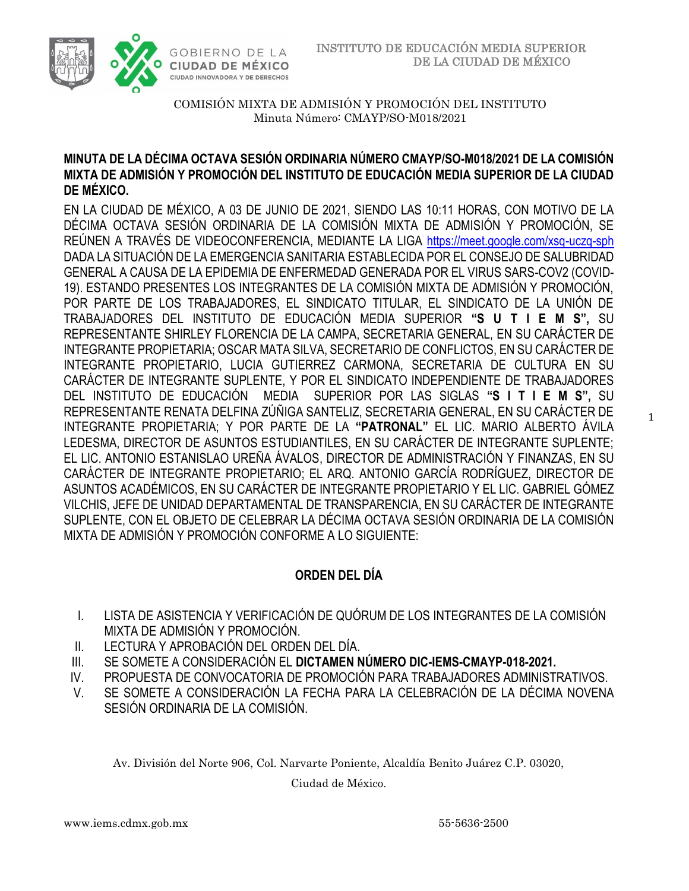



## **MINUTA DE LA DÉCIMA OCTAVA SESIÓN ORDINARIA NÚMERO CMAYP/SO-M018/2021 DE LA COMISIÓN MIXTA DE ADMISIÓN Y PROMOCIÓN DEL INSTITUTO DE EDUCACIÓN MEDIA SUPERIOR DE LA CIUDAD DE MÉXICO.**

EN LA CIUDAD DE MÉXICO, A 03 DE JUNIO DE 2021, SIENDO LAS 10:11 HORAS, CON MOTIVO DE LA DÉCIMA OCTAVA SESIÓN ORDINARIA DE LA COMISIÓN MIXTA DE ADMISIÓN Y PROMOCIÓN, SE REÚNEN A TRAVÉS DE VIDEOCONFERENCIA, MEDIANTE LA LIGA<https://meet.google.com/xsq-uczq-sph> DADA LA SITUACIÓN DE LA EMERGENCIA SANITARIA ESTABLECIDA POR EL CONSEJO DE SALUBRIDAD GENERAL A CAUSA DE LA EPIDEMIA DE ENFERMEDAD GENERADA POR EL VIRUS SARS-COV2 (COVID-19). ESTANDO PRESENTES LOS INTEGRANTES DE LA COMISIÓN MIXTA DE ADMISIÓN Y PROMOCIÓN, POR PARTE DE LOS TRABAJADORES, EL SINDICATO TITULAR, EL SINDICATO DE LA UNIÓN DE TRABAJADORES DEL INSTITUTO DE EDUCACIÓN MEDIA SUPERIOR **"S U T I E M S",** SU REPRESENTANTE SHIRLEY FLORENCIA DE LA CAMPA, SECRETARIA GENERAL, EN SU CARÁCTER DE INTEGRANTE PROPIETARIA; OSCAR MATA SILVA, SECRETARIO DE CONFLICTOS, EN SU CARÁCTER DE INTEGRANTE PROPIETARIO, LUCIA GUTIERREZ CARMONA, SECRETARIA DE CULTURA EN SU CARÁCTER DE INTEGRANTE SUPLENTE, Y POR EL SINDICATO INDEPENDIENTE DE TRABAJADORES DEL INSTITUTO DE EDUCACIÓN MEDIA SUPERIOR POR LAS SIGLAS **"S I T I E M S",** SU REPRESENTANTE RENATA DELFINA ZÚÑIGA SANTELIZ, SECRETARIA GENERAL, EN SU CARÁCTER DE INTEGRANTE PROPIETARIA; Y POR PARTE DE LA **"PATRONAL"** EL LIC. MARIO ALBERTO ÁVILA LEDESMA, DIRECTOR DE ASUNTOS ESTUDIANTILES, EN SU CARÁCTER DE INTEGRANTE SUPLENTE; EL LIC. ANTONIO ESTANISLAO UREÑA ÁVALOS, DIRECTOR DE ADMINISTRACIÓN Y FINANZAS, EN SU CARÁCTER DE INTEGRANTE PROPIETARIO; EL ARQ. ANTONIO GARCÍA RODRÍGUEZ, DIRECTOR DE ASUNTOS ACADÉMICOS, EN SU CARÁCTER DE INTEGRANTE PROPIETARIO Y EL LIC. GABRIEL GÓMEZ VILCHIS, JEFE DE UNIDAD DEPARTAMENTAL DE TRANSPARENCIA, EN SU CARÁCTER DE INTEGRANTE SUPLENTE, CON EL OBJETO DE CELEBRAR LA DÉCIMA OCTAVA SESIÓN ORDINARIA DE LA COMISIÓN MIXTA DE ADMISIÓN Y PROMOCIÓN CONFORME A LO SIGUIENTE:

# **ORDEN DEL DÍA**

- I. LISTA DE ASISTENCIA Y VERIFICACIÓN DE QUÓRUM DE LOS INTEGRANTES DE LA COMISIÓN MIXTA DE ADMISIÓN Y PROMOCIÓN.
- II. LECTURA Y APROBACIÓN DEL ORDEN DEL DÍA.
- III. SE SOMETE A CONSIDERACIÓN EL **DICTAMEN NÚMERO DIC-IEMS-CMAYP-018-2021.**
- IV. PROPUESTA DE CONVOCATORIA DE PROMOCIÓN PARA TRABAJADORES ADMINISTRATIVOS.
- V. SE SOMETE A CONSIDERACIÓN LA FECHA PARA LA CELEBRACIÓN DE LA DÉCIMA NOVENA SESIÓN ORDINARIA DE LA COMISIÓN.

Av. División del Norte 906, Col. Narvarte Poniente, Alcaldía Benito Juárez C.P. 03020,

Ciudad de México.

1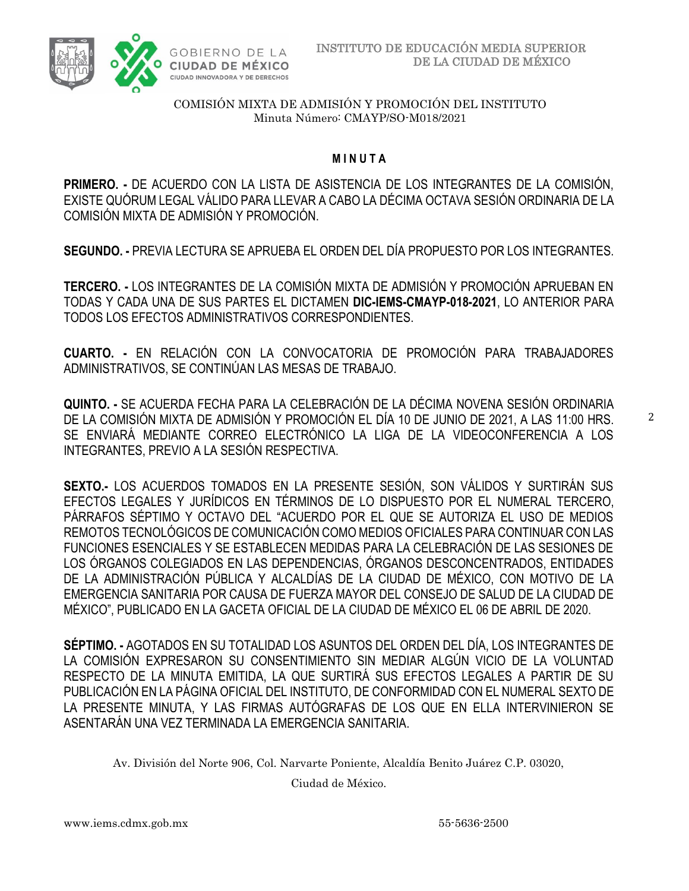

### **M I N U T A**

**PRIMERO. -** DE ACUERDO CON LA LISTA DE ASISTENCIA DE LOS INTEGRANTES DE LA COMISIÓN, EXISTE QUÓRUM LEGAL VÁLIDO PARA LLEVAR A CABO LA DÉCIMA OCTAVA SESIÓN ORDINARIA DE LA COMISIÓN MIXTA DE ADMISIÓN Y PROMOCIÓN.

**SEGUNDO. -** PREVIA LECTURA SE APRUEBA EL ORDEN DEL DÍA PROPUESTO POR LOS INTEGRANTES.

**TERCERO. -** LOS INTEGRANTES DE LA COMISIÓN MIXTA DE ADMISIÓN Y PROMOCIÓN APRUEBAN EN TODAS Y CADA UNA DE SUS PARTES EL DICTAMEN **DIC-IEMS-CMAYP-018-2021**, LO ANTERIOR PARA TODOS LOS EFECTOS ADMINISTRATIVOS CORRESPONDIENTES.

**CUARTO. -** EN RELACIÓN CON LA CONVOCATORIA DE PROMOCIÓN PARA TRABAJADORES ADMINISTRATIVOS, SE CONTINÚAN LAS MESAS DE TRABAJO.

**QUINTO. -** SE ACUERDA FECHA PARA LA CELEBRACIÓN DE LA DÉCIMA NOVENA SESIÓN ORDINARIA DE LA COMISIÓN MIXTA DE ADMISIÓN Y PROMOCIÓN EL DÍA 10 DE JUNIO DE 2021, A LAS 11:00 HRS. SE ENVIARÁ MEDIANTE CORREO ELECTRÓNICO LA LIGA DE LA VIDEOCONFERENCIA A LOS INTEGRANTES, PREVIO A LA SESIÓN RESPECTIVA.

**SEXTO.-** LOS ACUERDOS TOMADOS EN LA PRESENTE SESIÓN, SON VÁLIDOS Y SURTIRÁN SUS EFECTOS LEGALES Y JURÍDICOS EN TÉRMINOS DE LO DISPUESTO POR EL NUMERAL TERCERO, PÁRRAFOS SÉPTIMO Y OCTAVO DEL "ACUERDO POR EL QUE SE AUTORIZA EL USO DE MEDIOS REMOTOS TECNOLÓGICOS DE COMUNICACIÓN COMO MEDIOS OFICIALES PARA CONTINUAR CON LAS FUNCIONES ESENCIALES Y SE ESTABLECEN MEDIDAS PARA LA CELEBRACIÓN DE LAS SESIONES DE LOS ÓRGANOS COLEGIADOS EN LAS DEPENDENCIAS, ÓRGANOS DESCONCENTRADOS, ENTIDADES DE LA ADMINISTRACIÓN PÚBLICA Y ALCALDÍAS DE LA CIUDAD DE MÉXICO, CON MOTIVO DE LA EMERGENCIA SANITARIA POR CAUSA DE FUERZA MAYOR DEL CONSEJO DE SALUD DE LA CIUDAD DE MÉXICO", PUBLICADO EN LA GACETA OFICIAL DE LA CIUDAD DE MÉXICO EL 06 DE ABRIL DE 2020.

**SÉPTIMO. -** AGOTADOS EN SU TOTALIDAD LOS ASUNTOS DEL ORDEN DEL DÍA, LOS INTEGRANTES DE LA COMISIÓN EXPRESARON SU CONSENTIMIENTO SIN MEDIAR ALGÚN VICIO DE LA VOLUNTAD RESPECTO DE LA MINUTA EMITIDA, LA QUE SURTIRÁ SUS EFECTOS LEGALES A PARTIR DE SU PUBLICACIÓN EN LA PÁGINA OFICIAL DEL INSTITUTO, DE CONFORMIDAD CON EL NUMERAL SEXTO DE LA PRESENTE MINUTA, Y LAS FIRMAS AUTÓGRAFAS DE LOS QUE EN ELLA INTERVINIERON SE ASENTARÁN UNA VEZ TERMINADA LA EMERGENCIA SANITARIA.

Av. División del Norte 906, Col. Narvarte Poniente, Alcaldía Benito Juárez C.P. 03020,

Ciudad de México.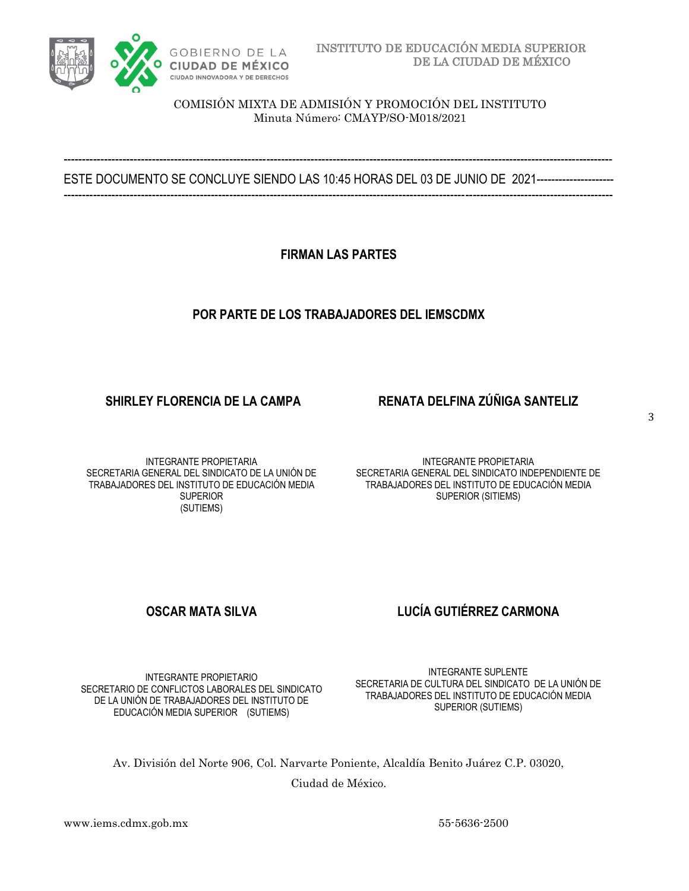

----------------------------------------------------------------------------------------------------------------------------------------------------- ESTE DOCUMENTO SE CONCLUYE SIENDO LAS 10:45 HORAS DEL 03 DE JUNIO DE 2021-----------------------------------------------------------------------------------------------------------------------------------------------------------------------

**FIRMAN LAS PARTES**

## **POR PARTE DE LOS TRABAJADORES DEL IEMSCDMX**

## **SHIRLEY FLORENCIA DE LA CAMPA RENATA DELFINA ZÚÑIGA SANTELIZ**

INTEGRANTE PROPIETARIA SECRETARIA GENERAL DEL SINDICATO DE LA UNIÓN DE TRABAJADORES DEL INSTITUTO DE EDUCACIÓN MEDIA **SUPERIOR** (SUTIEMS)

INTEGRANTE PROPIETARIA SECRETARIA GENERAL DEL SINDICATO INDEPENDIENTE DE TRABAJADORES DEL INSTITUTO DE EDUCACIÓN MEDIA SUPERIOR (SITIEMS)

# **OSCAR MATA SILVA LUCÍA GUTIÉRREZ CARMONA**

INTEGRANTE PROPIETARIO SECRETARIO DE CONFLICTOS LABORALES DEL SINDICATO DE LA UNIÓN DE TRABAJADORES DEL INSTITUTO DE EDUCACIÓN MEDIA SUPERIOR (SUTIEMS)

INTEGRANTE SUPLENTE SECRETARIA DE CULTURA DEL SINDICATO DE LA UNIÓN DE TRABAJADORES DEL INSTITUTO DE EDUCACIÓN MEDIA SUPERIOR (SUTIEMS)

Av. División del Norte 906, Col. Narvarte Poniente, Alcaldía Benito Juárez C.P. 03020,

Ciudad de México.